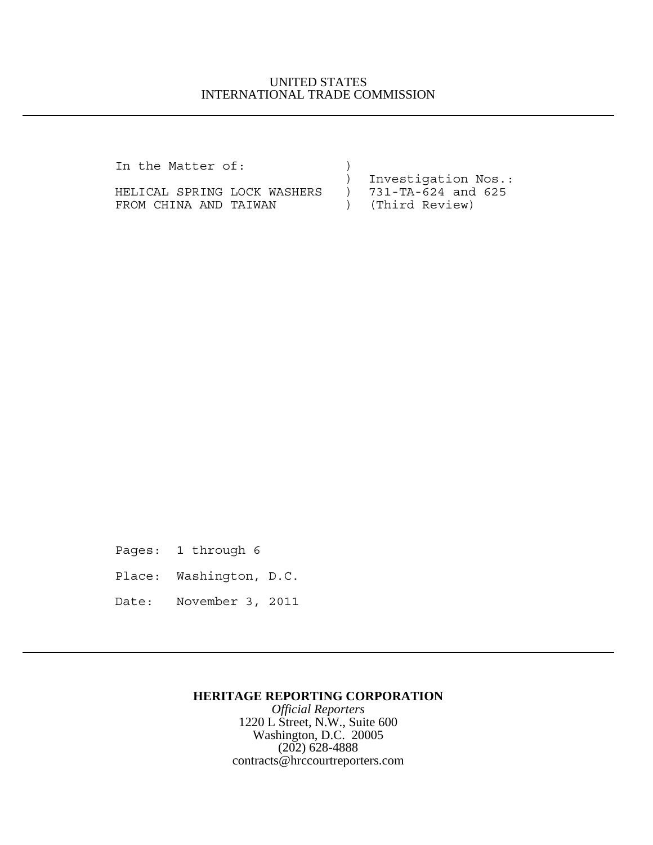## UNITED STATES INTERNATIONAL TRADE COMMISSION

| In the Matter of:           |                       |
|-----------------------------|-----------------------|
|                             | ) Investigation Nos.: |
| HELICAL SPRING LOCK WASHERS | ) 731-TA-624 and 625  |
| FROM CHINA AND TAIWAN       | ) (Third Review)      |

Pages: 1 through 6

Place: Washington, D.C.

Date: November 3, 2011

### **HERITAGE REPORTING CORPORATION**

*Official Reporters* 1220 L Street, N.W., Suite 600 Washington, D.C. 20005 (202) 628-4888 contracts@hrccourtreporters.com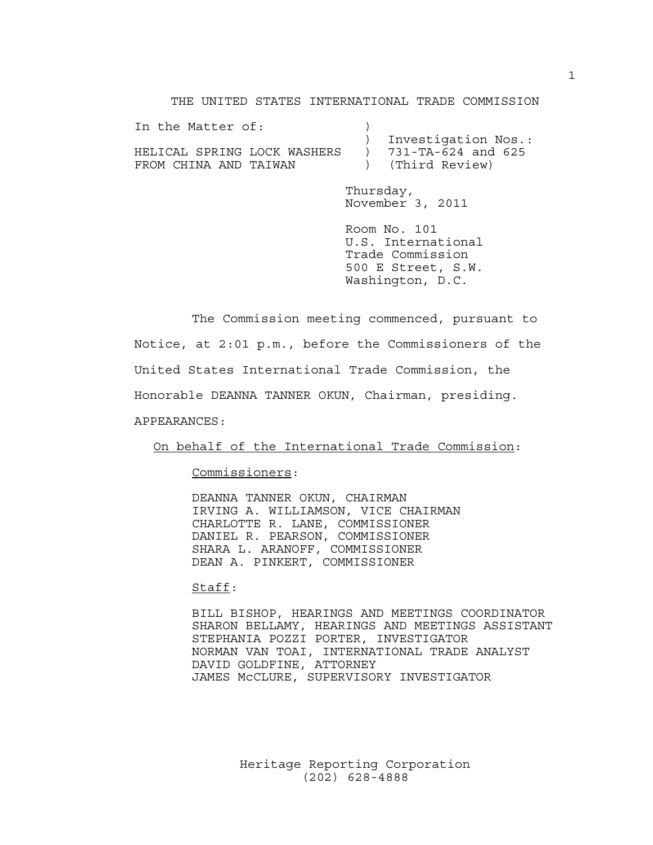THE UNITED STATES INTERNATIONAL TRADE COMMISSION

| In the Matter of:           |                          |
|-----------------------------|--------------------------|
|                             | Investigation Nos.:      |
| HELICAL SPRING LOCK WASHERS | $731 - TA - 624$ and 625 |
| FROM CHINA AND TAIWAN       | ) (Third Review)         |

Thursday, November 3, 2011

Room No. 101 U.S. International Trade Commission 500 E Street, S.W. Washington, D.C.

The Commission meeting commenced, pursuant to Notice, at 2:01 p.m., before the Commissioners of the United States International Trade Commission, the Honorable DEANNA TANNER OKUN, Chairman, presiding. APPEARANCES:

On behalf of the International Trade Commission:

Commissioners:

DEANNA TANNER OKUN, CHAIRMAN IRVING A. WILLIAMSON, VICE CHAIRMAN CHARLOTTE R. LANE, COMMISSIONER DANIEL R. PEARSON, COMMISSIONER SHARA L. ARANOFF, COMMISSIONER DEAN A. PINKERT, COMMISSIONER

Staff:

BILL BISHOP, HEARINGS AND MEETINGS COORDINATOR SHARON BELLAMY, HEARINGS AND MEETINGS ASSISTANT STEPHANIA POZZI PORTER, INVESTIGATOR NORMAN VAN TOAI, INTERNATIONAL TRADE ANALYST DAVID GOLDFINE, ATTORNEY JAMES McCLURE, SUPERVISORY INVESTIGATOR

> Heritage Reporting Corporation (202) 628-4888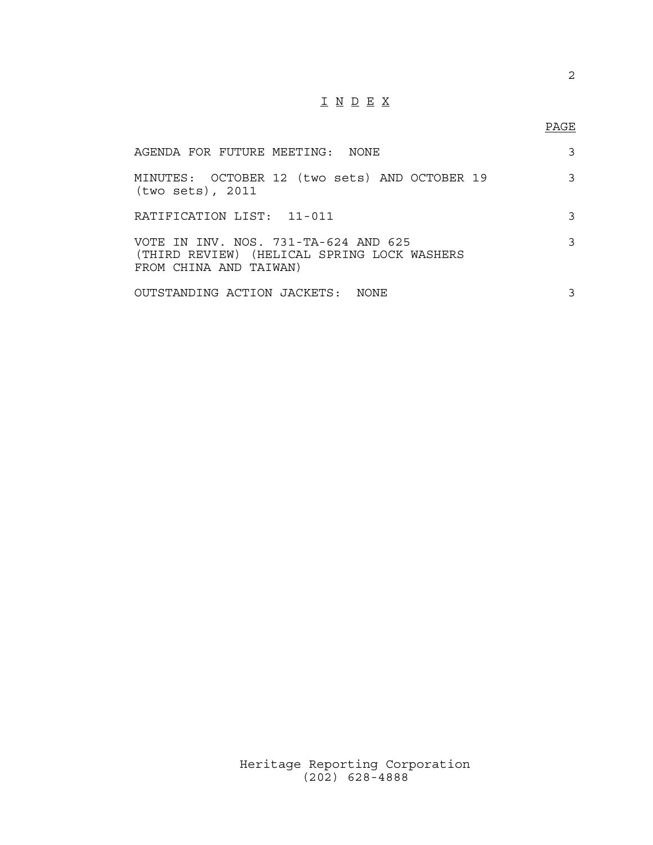# I N D E X

## PAGE

| AGENDA FOR FUTURE MEETING: NONE                                                                               | 3 |
|---------------------------------------------------------------------------------------------------------------|---|
| MINUTES: OCTOBER 12 (two sets) AND OCTOBER 19<br>(two sets), 2011                                             | 3 |
| RATIFICATION LIST: 11-011                                                                                     | 3 |
| VOTE IN INV. NOS. 731-TA-624 AND 625<br>(THIRD REVIEW) (HELICAL SPRING LOCK WASHERS<br>FROM CHINA AND TAIWAN) | 3 |
| OUTSTANDING ACTION JACKETS: NONE                                                                              | 3 |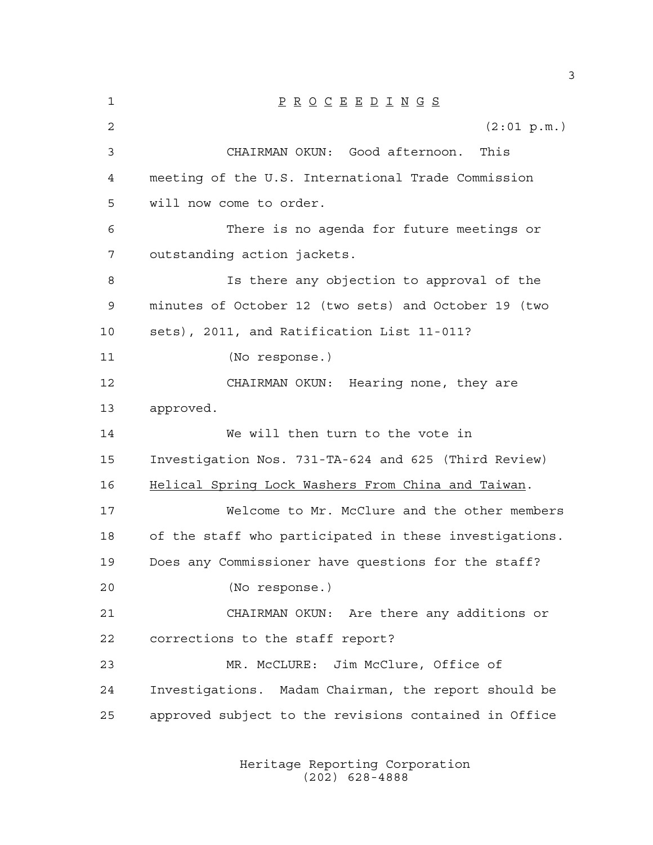P R O C E E D I N G S  $(2:01 \text{ p.m.})$  CHAIRMAN OKUN: Good afternoon. This meeting of the U.S. International Trade Commission will now come to order. There is no agenda for future meetings or outstanding action jackets. Is there any objection to approval of the minutes of October 12 (two sets) and October 19 (two sets), 2011, and Ratification List 11-011? (No response.) CHAIRMAN OKUN: Hearing none, they are approved. We will then turn to the vote in Investigation Nos. 731-TA-624 and 625 (Third Review) Helical Spring Lock Washers From China and Taiwan. Welcome to Mr. McClure and the other members of the staff who participated in these investigations. Does any Commissioner have questions for the staff? (No response.) CHAIRMAN OKUN: Are there any additions or corrections to the staff report? MR. McCLURE: Jim McClure, Office of Investigations. Madam Chairman, the report should be approved subject to the revisions contained in Office

> Heritage Reporting Corporation (202) 628-4888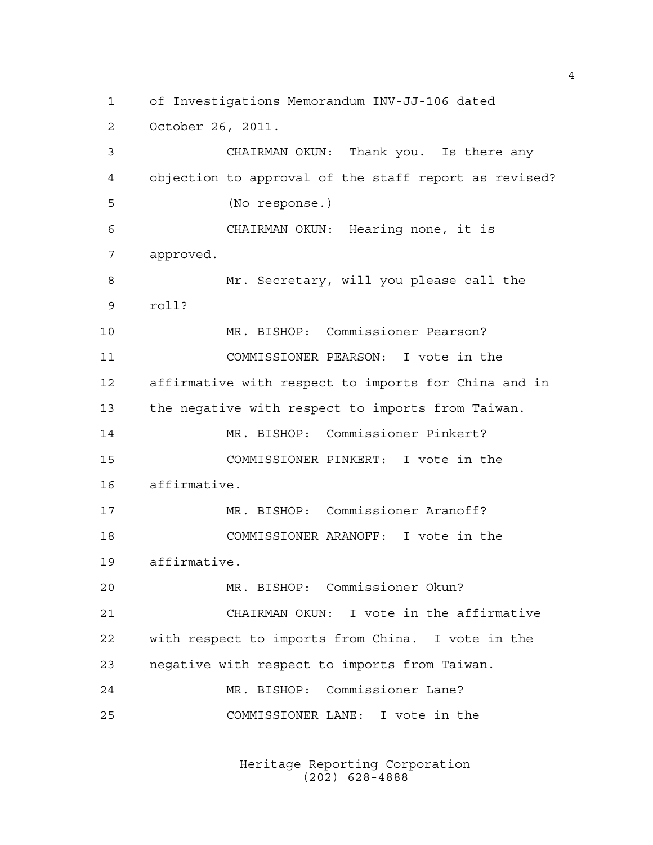of Investigations Memorandum INV-JJ-106 dated October 26, 2011. CHAIRMAN OKUN: Thank you. Is there any objection to approval of the staff report as revised? (No response.) CHAIRMAN OKUN: Hearing none, it is approved. Mr. Secretary, will you please call the roll? MR. BISHOP: Commissioner Pearson? COMMISSIONER PEARSON: I vote in the affirmative with respect to imports for China and in the negative with respect to imports from Taiwan. MR. BISHOP: Commissioner Pinkert? COMMISSIONER PINKERT: I vote in the affirmative. MR. BISHOP: Commissioner Aranoff? COMMISSIONER ARANOFF: I vote in the affirmative. MR. BISHOP: Commissioner Okun? CHAIRMAN OKUN: I vote in the affirmative with respect to imports from China. I vote in the negative with respect to imports from Taiwan. MR. BISHOP: Commissioner Lane? COMMISSIONER LANE: I vote in the

> Heritage Reporting Corporation (202) 628-4888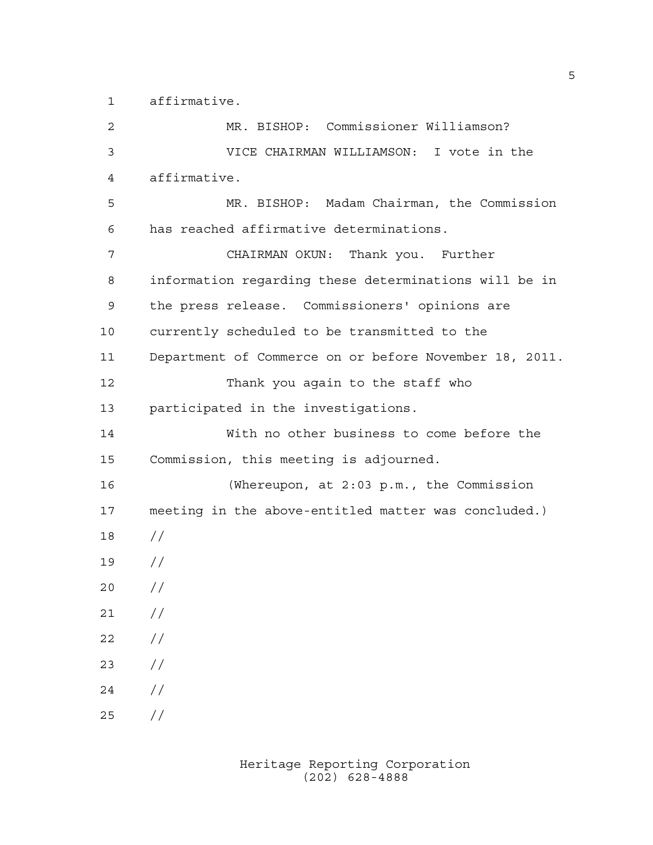affirmative.

 MR. BISHOP: Commissioner Williamson? VICE CHAIRMAN WILLIAMSON: I vote in the affirmative. MR. BISHOP: Madam Chairman, the Commission has reached affirmative determinations. CHAIRMAN OKUN: Thank you. Further information regarding these determinations will be in the press release. Commissioners' opinions are currently scheduled to be transmitted to the Department of Commerce on or before November 18, 2011. Thank you again to the staff who participated in the investigations. With no other business to come before the Commission, this meeting is adjourned. (Whereupon, at 2:03 p.m., the Commission meeting in the above-entitled matter was concluded.) // //  $20 /$  $21 /$  $22 / /$  //  $24 /$ //

> Heritage Reporting Corporation (202) 628-4888